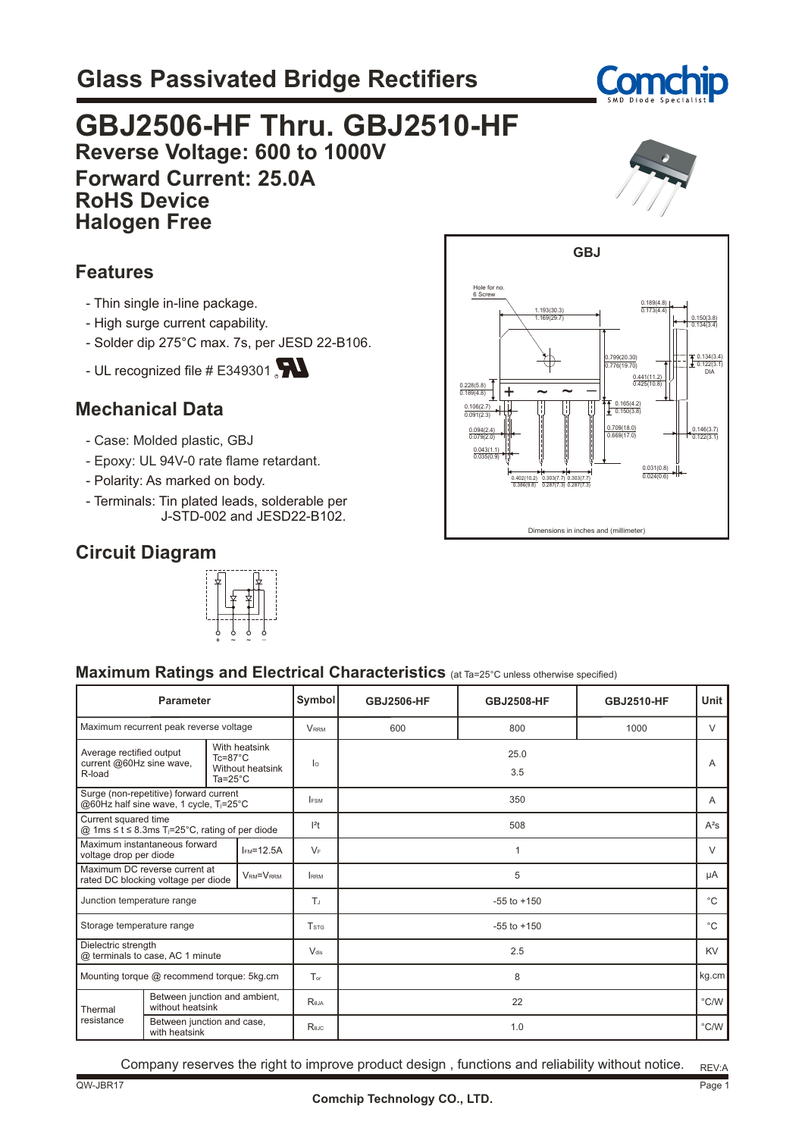# **Glass Passivated Bridge Rectifiers**



### **GBJ2506-HF Thru. GBJ2510-HF Reverse Voltage: 600 to 1000V Forward Current: 25.0A RoHS Device Halogen Free**



#### **Features**

- Thin single in-line package.
- High surge current capability.
- Solder dip 275°C max. 7s, per JESD 22-B106.
- UL recognized file  $#E$ 349301

### **Mechanical Data**

- Case: Molded plastic, GBJ
- Epoxy: UL 94V-0 rate flame retardant.
- Polarity: As marked on body.
- Terminals: Tin plated leads, solderable per J-STD-002 and JESD22-B102.

### **Circuit Diagram**





#### **Maximum Ratings and Electrical Characteristics** (at Ta=25°C unless otherwise specified)

| <b>Parameter</b>                                                                    |                                                                                                                                       |                               | Symbol                  | <b>GBJ2506-HF</b> | <b>GBJ2508-HF</b> | <b>GBJ2510-HF</b> | Unit        |                |
|-------------------------------------------------------------------------------------|---------------------------------------------------------------------------------------------------------------------------------------|-------------------------------|-------------------------|-------------------|-------------------|-------------------|-------------|----------------|
| Maximum recurrent peak reverse voltage                                              |                                                                                                                                       |                               | <b>VRRM</b>             | 600               | 800               | 1000              | $\vee$      |                |
| R-load                                                                              | With heatsink<br>Average rectified output<br>$Tc = 87^{\circ}C$<br>current @60Hz sine wave,<br>Without heatsink<br>Ta= $25^{\circ}$ C |                               |                         | lо                | 25.0<br>3.5       |                   |             | $\overline{A}$ |
| Surge (non-repetitive) forward current<br>@60Hz half sine wave, 1 cycle, Tj=25°C    |                                                                                                                                       |                               | <b>IFSM</b>             | 350               |                   |                   | A           |                |
| Current squared time<br>@ 1ms ≤ t ≤ 8.3ms T <sub>j</sub> =25°C, rating of per diode |                                                                                                                                       |                               | $ ^{2}$ t               | 508               |                   |                   | $A^2S$      |                |
| Maximum instantaneous forward<br>voltage drop per diode                             |                                                                                                                                       | $IFM=12.5A$                   | $V_F$                   | 1                 |                   | $\vee$            |             |                |
| Maximum DC reverse current at<br>rated DC blocking voltage per diode                |                                                                                                                                       | VRM=VRRM                      | <b>RRM</b>              | 5                 |                   | μA                |             |                |
| Junction temperature range                                                          |                                                                                                                                       |                               | TJ                      | $-55$ to $+150$   |                   |                   | $^{\circ}C$ |                |
| Storage temperature range                                                           |                                                                                                                                       |                               | <b>T</b> <sub>STG</sub> | $-55$ to $+150$   |                   |                   | $^{\circ}C$ |                |
| Dielectric strength<br>@ terminals to case, AC 1 minute                             |                                                                                                                                       |                               | $V_{dis}$               | 2.5               |                   | <b>KV</b>         |             |                |
| Mounting torque @ recommend torque: 5kg.cm                                          |                                                                                                                                       |                               | $T_{\alpha r}$          | 8                 |                   | kg.cm             |             |                |
| without heatsink<br>Thermal                                                         |                                                                                                                                       | Between junction and ambient, |                         | Reja              | 22                |                   | °C/W        |                |
| resistance                                                                          | Between junction and case,<br>with heatsink                                                                                           |                               |                         | Rejc              | 1.0               |                   |             | °C/W           |

Company reserves the right to improve product design , functions and reliability without notice.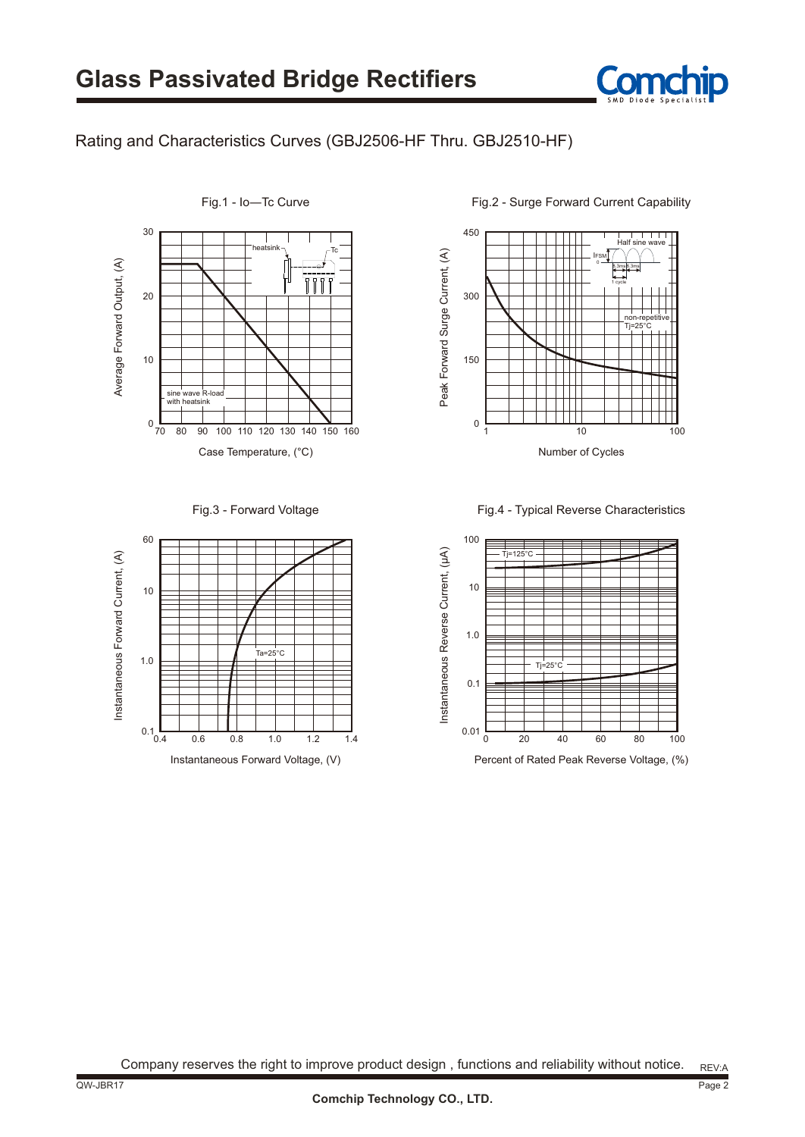

#### Rating and Characteristics Curves (GBJ2506-HF Thru. GBJ2510-HF)



Fig.3 - Forward Voltage



Fig.1 - Io―Tc Curve

450 Half sine wave Peak Forward Surge Current, (A) Peak Forward Surge Current, (A) IFSM  $\epsilon$ 8.3ms 8.3ms 1 cycle 300 non-repetitive Tj=25°C 150  $\mathsf{L}$ 0 1 10 100 Number of Cycles

Fig.2 - Surge Forward Current Capability

Fig.4 - Typical Reverse Characteristics



Company reserves the right to improve product design , functions and reliability without notice.